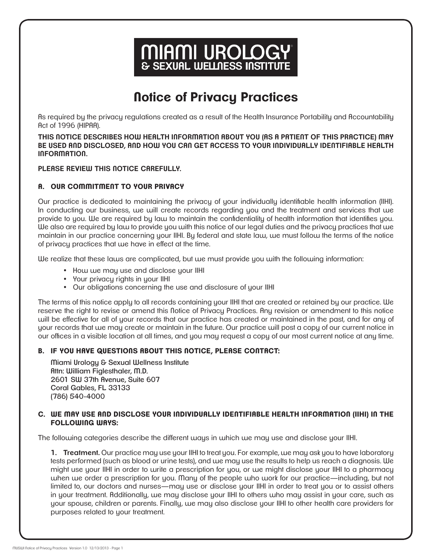# **MIAMI UROLOGY**<br>& SEXUAL WELLNESS INSTITUTE

# **Notice of Privacy Practices**

As required by the privacy regulations created as a result of the Health Insurance Portability and Accountability Act of 1996 (HIPAA).

**THIS NOTICE DESCRIBES HOW HEALTH INFORMATION ABOUT YOU (AS A PATIENT OF THIS PRACTICE) MAY BE USED AND DISCLOSED, AND HOW YOU CAN GET ACCESS TO YOUR INDIVIDUALLY IDENTIFIABLE HEALTH INFORMATION.**

**PLEASE REVIEW THIS NOTICE CAREFULLY.**

## **A. OUR COMMITMENT TO YOUR PRIVACY**

Our practice is dedicated to maintaining the privacy of your individually identifiable health information (IIHI). In conducting our business, we will create records regarding you and the treatment and services that we provide to you. We are required by law to maintain the confidentiality of health information that identifies you. We also are required by law to provide you with this notice of our legal duties and the privacy practices that we maintain in our practice concerning your IIHI. By federal and state law, we must follow the terms of the notice of privacy practices that we have in effect at the time.

We realize that these laws are complicated, but we must provide you with the following information:

- How we may use and disclose your IIHI
- Your privacy rights in your IIHI
- Our obligations concerning the use and disclosure of your IIHI

The terms of this notice apply to all records containing your IIHI that are created or retained by our practice. We reserve the right to revise or amend this Notice of Privacy Practices. Any revision or amendment to this notice will be effective for all of your records that our practice has created or maintained in the past, and for any of your records that we may create or maintain in the future. Our practice will post a copy of our current notice in our offices in a visible location at all times, and you may request a copy of our most current notice at any time.

#### **B. IF YOU HAVE QUESTIONS ABOUT THIS NOTICE, PLEASE CONTACT:**

 Miami Urology & Sexual Wellness Institute Attn: William Figlesthaler, M.D. 2601 SW 37th Avenue, Suite 607 Coral Gables, FL 33133 (786) 540-4000

#### **C. WE MAY USE AND DISCLOSE YOUR INDIVIDUALLY IDENTIFIABLE HEALTH INFORMATION (IIHI) IN THE FOLLOWING WAYS:**

The following categories describe the different ways in which we may use and disclose your IIHI.

**1. Treatment.** Our practice may use your IIHI to treat you. For example, we may ask you to have laboratory tests performed (such as blood or urine tests), and we may use the results to help us reach a diagnosis. We might use your IIHI in order to write a prescription for you, or we might disclose your IIHI to a pharmacy when we order a prescription for you. Many of the people who work for our practice—including, but not limited to, our doctors and nurses—may use or disclose your IIHI in order to treat you or to assist others in your treatment. Additionally, we may disclose your IIHI to others who may assist in your care, such as your spouse, children or parents. Finally, we may also disclose your IIHI to other health care providers for purposes related to your treatment.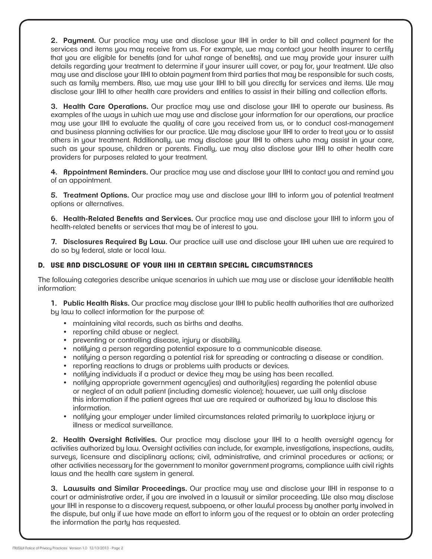**2. Payment.** Our practice may use and disclose your IIHI in order to bill and collect payment for the services and items you may receive from us. For example, we may contact your health insurer to certify that you are eligible for benefits (and for what range of benefits), and we may provide your insurer with details regarding your treatment to determine if your insurer will cover, or pay for, your treatment. We also may use and disclose your IIHI to obtain payment from third parties that may be responsible for such costs, such as family members. Also, we may use your IIHI to bill you directly for services and items. We may disclose your IIHI to other health care providers and entities to assist in their billing and collection efforts.

**3. Health Care Operations.** Our practice may use and disclose your IIHI to operate our business. As examples of the ways in which we may use and disclose your information for our operations, our practice may use your IIHI to evaluate the quality of care you received from us, or to conduct cost-management and business planning activities for our practice. We may disclose your IIHI to order to treat you or to assist others in your treatment. Additionally, we may disclose your IIHI to others who may assist in your care, such as your spouse, children or parents. Finally, we may also disclose your IIHI to other health care providers for purposes related to your treatment.

**4. Appointment Reminders.** Our practice may use and disclose your IIHI to contact you and remind you of an appointment.

**5. Treatment Options.** Our practice may use and disclose your IIHI to inform you of potential treatment options or alternatives.

**6. Health-Related Benefits and Services.** Our practice may use and disclose your IIHI to inform you of health-related benefits or services that may be of interest to you.

**7. Disclosures Required By Law.** Our practice will use and disclose your IIHI when we are required to do so by federal, state or local law.

### **D. USE AND DISCLOSURE OF YOUR IIHI IN CERTAIN SPECIAL CIRCUMSTANCES**

The following categories describe unique scenarios in which we may use or disclose your identifiable health information:

**1. Public Health Risks.** Our practice may disclose your IIHI to public health authorities that are authorized by law to collect information for the purpose of:

- maintaining vital records, such as births and deaths.
- reporting child abuse or neglect.
- preventing or controlling disease, injury or disability.
- notifying a person regarding potential exposure to a communicable disease.
- notifying a person regarding a potential risk for spreading or contracting a disease or condition.
- reporting reactions to drugs or problems with products or devices.
- notifying individuals if a product or device they may be using has been recalled.
- notifying appropriate government agency(ies) and authority(ies) regarding the potential abuse or neglect of an adult patient (including domestic violence); however, we will only disclose this information if the patient agrees that we are required or authorized by law to disclose this information.
- notifying your employer under limited circumstances related primarily to workplace injury or illness or medical surveillance.

**2. Health Oversight Activities.** Our practice may disclose your IIHI to a health oversight agency for activities authorized by law. Oversight activities can include, for example, investigations, inspections, audits, surveys, licensure and disciplinary actions; civil, administrative, and criminal procedures or actions; or other activities necessary for the government to monitor government programs, compliance with civil rights laws and the health care system in general.

**3. Lawsuits and Similar Proceedings.** Our practice may use and disclose your IIHI in response to a court or administrative order, if you are involved in a lawsuit or similar proceeding. We also may disclose your IIHI in response to a discovery request, subpoena, or other lawful process by another party involved in the dispute, but only if we have made an effort to inform you of the request or to obtain an order protecting the information the party has requested.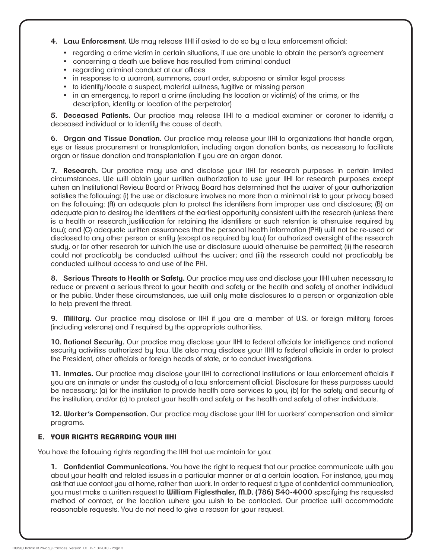**4. Law Enforcement.** We may release IIHI if asked to do so by a law enforcement official:

- regarding a crime victim in certain situations, if we are unable to obtain the person's agreement
- concerning a death we believe has resulted from criminal conduct
- regarding criminal conduct at our offices
- in response to a warrant, summons, court order, subpoena or similar legal process
- to identify/locate a suspect, material witness, fugitive or missing person
- in an emergency, to report a crime (including the location or victim(s) of the crime, or the description, identity or location of the perpetrator)

**5. Deceased Patients.** Our practice may release IIHI to a medical examiner or coroner to identify a deceased individual or to identify the cause of death.

**6. Organ and Tissue Donation.** Our practice may release your IIHI to organizations that handle organ, eye or tissue procurement or transplantation, including organ donation banks, as necessary to facilitate organ or tissue donation and transplantation if you are an organ donor.

**7. Research.** Our practice may use and disclose your IIHI for research purposes in certain limited circumstances. We will obtain your written authorization to use your IIHI for research purposes except when an Institutional Review Board or Privacy Board has determined that the waiver of your authorization satisfies the following: (i) the use or disclosure involves no more than a minimal risk to your privacy based on the following: (A) an adequate plan to protect the identifiers from improper use and disclosure; (B) an adequate plan to destroy the identifiers at the earliest opportunity consistent with the research (unless there is a health or research justification for retaining the identifiers or such retention is otherwise required by law); and (C) adequate written assurances that the personal health information (PHI) will not be re-used or disclosed to any other person or entity (except as required by law) for authorized oversight of the research study, or for other research for which the use or disclosure would otherwise be permitted; (ii) the research could not practicably be conducted without the waiver; and (iii) the research could not practicably be conducted without access to and use of the PHI.

**8. Serious Threats to Health or Safety.** Our practice may use and disclose your IIHI when necessary to reduce or prevent a serious threat to your health and safety or the health and safety of another individual or the public. Under these circumstances, we will only make disclosures to a person or organization able to help prevent the threat.

**9. Military.** Our practice may disclose or IIHI if you are a member of U.S. or foreign military forces (including veterans) and if required by the appropriate authorities.

**10. National Security.** Our practice may disclose your IIHI to federal officials for intelligence and national security activities authorized by law. We also may disclose your IIHI to federal officials in order to protect the President, other officials or foreign heads of state, or to conduct investigations.

**11. Inmates.** Our practice may disclose your IIHI to correctional institutions or law enforcement officials if you are an inmate or under the custody of a law enforcement official. Disclosure for these purposes would be necessary: (a) for the institution to provide health care services to you, (b) for the safety and security of the institution, and/or (c) to protect your health and safety or the health and safety of other individuals.

**12. Worker's Compensation.** Our practice may disclose your IIHI for workers' compensation and similar programs.

#### **E. YOUR RIGHTS REGARDING YOUR IIHI**

You have the following rights regarding the IIHI that we maintain for you:

**1. Confidential Communications.** You have the right to request that our practice communicate with you about your health and related issues in a particular manner or at a certain location. For instance, you may ask that we contact you at home, rather than work. In order to request a type of confidential communication, you must make a written request to **William Figlesthaler, M.D. (786) 540-4000** specifying the requested method of contact, or the location where you wish to be contacted. Our practice will accommodate reasonable requests. You do not need to give a reason for your request.